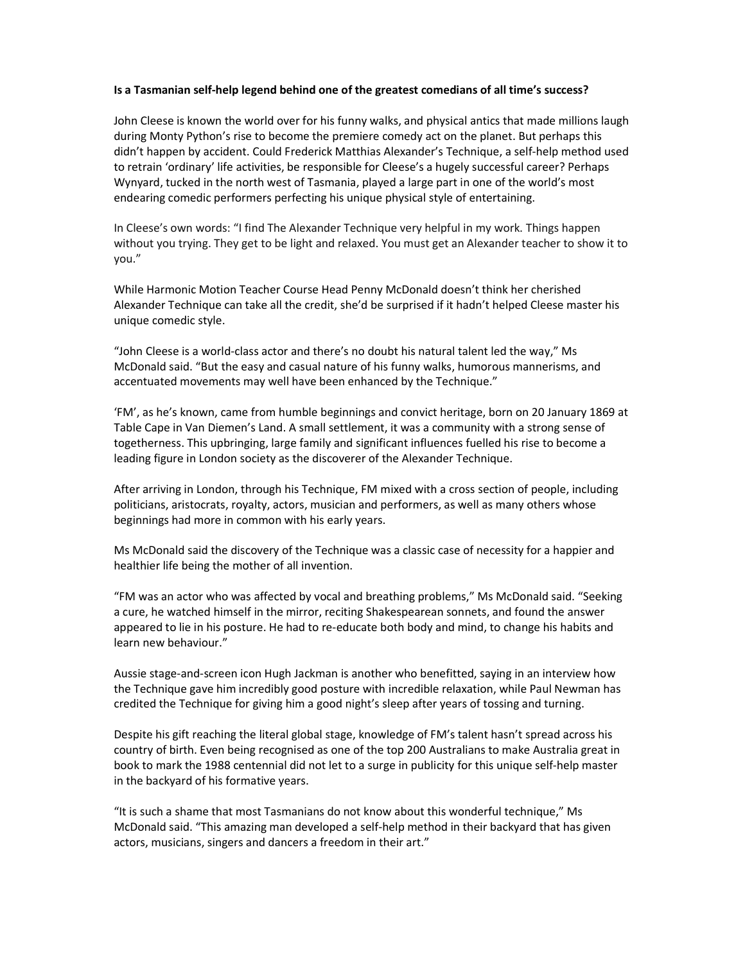### Is a Tasmanian self-help legend behind one of the greatest comedians of all time's success?

John Cleese is known the world over for his funny walks, and physical antics that made millions laugh during Monty Python's rise to become the premiere comedy act on the planet. But perhaps this didn't happen by accident. Could Frederick Matthias Alexander's Technique, a self-help method used to retrain 'ordinary' life activities, be responsible for Cleese's a hugely successful career? Perhaps Wynyard, tucked in the north west of Tasmania, played a large part in one of the world's most endearing comedic performers perfecting his unique physical style of entertaining.

In Cleese's own words: "I find The Alexander Technique very helpful in my work. Things happen without you trying. They get to be light and relaxed. You must get an Alexander teacher to show it to you."

While Harmonic Motion Teacher Course Head Penny McDonald doesn't think her cherished Alexander Technique can take all the credit, she'd be surprised if it hadn't helped Cleese master his unique comedic style.

"John Cleese is a world-class actor and there's no doubt his natural talent led the way," Ms McDonald said. "But the easy and casual nature of his funny walks, humorous mannerisms, and accentuated movements may well have been enhanced by the Technique."

'FM', as he's known, came from humble beginnings and convict heritage, born on 20 January 1869 at Table Cape in Van Diemen's Land. A small settlement, it was a community with a strong sense of togetherness. This upbringing, large family and significant influences fuelled his rise to become a leading figure in London society as the discoverer of the Alexander Technique.

After arriving in London, through his Technique, FM mixed with a cross section of people, including politicians, aristocrats, royalty, actors, musician and performers, as well as many others whose beginnings had more in common with his early years.

Ms McDonald said the discovery of the Technique was a classic case of necessity for a happier and healthier life being the mother of all invention.

"FM was an actor who was affected by vocal and breathing problems," Ms McDonald said. "Seeking a cure, he watched himself in the mirror, reciting Shakespearean sonnets, and found the answer appeared to lie in his posture. He had to re-educate both body and mind, to change his habits and learn new behaviour."

Aussie stage-and-screen icon Hugh Jackman is another who benefitted, saying in an interview how the Technique gave him incredibly good posture with incredible relaxation, while Paul Newman has credited the Technique for giving him a good night's sleep after years of tossing and turning.

Despite his gift reaching the literal global stage, knowledge of FM's talent hasn't spread across his country of birth. Even being recognised as one of the top 200 Australians to make Australia great in book to mark the 1988 centennial did not let to a surge in publicity for this unique self-help master in the backyard of his formative years.

"It is such a shame that most Tasmanians do not know about this wonderful technique," Ms McDonald said. "This amazing man developed a self-help method in their backyard that has given actors, musicians, singers and dancers a freedom in their art."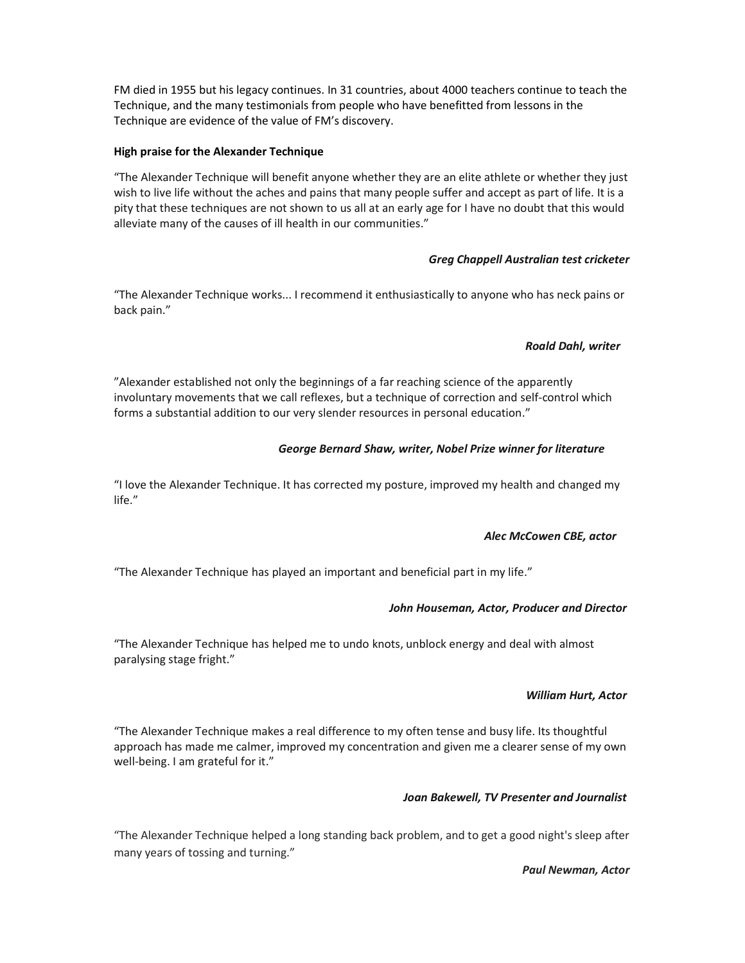FM died in 1955 but his legacy continues. In 31 countries, about 4000 teachers continue to teach the Technique, and the many testimonials from people who have benefitted from lessons in the Technique are evidence of the value of FM's discovery.

### High praise for the Alexander Technique

"The Alexander Technique will benefit anyone whether they are an elite athlete or whether they just wish to live life without the aches and pains that many people suffer and accept as part of life. It is a pity that these techniques are not shown to us all at an early age for I have no doubt that this would alleviate many of the causes of ill health in our communities."

### Greg Chappell Australian test cricketer

"The Alexander Technique works... I recommend it enthusiastically to anyone who has neck pains or back pain."

### Roald Dahl, writer

"Alexander established not only the beginnings of a far reaching science of the apparently involuntary movements that we call reflexes, but a technique of correction and self-control which forms a substantial addition to our very slender resources in personal education."

# George Bernard Shaw, writer, Nobel Prize winner for literature

"I love the Alexander Technique. It has corrected my posture, improved my health and changed my life."

# Alec McCowen CBE, actor

"The Alexander Technique has played an important and beneficial part in my life."

# John Houseman, Actor, Producer and Director

"The Alexander Technique has helped me to undo knots, unblock energy and deal with almost paralysing stage fright."

# William Hurt, Actor

"The Alexander Technique makes a real difference to my often tense and busy life. Its thoughtful approach has made me calmer, improved my concentration and given me a clearer sense of my own well-being. I am grateful for it."

#### Joan Bakewell, TV Presenter and Journalist

"The Alexander Technique helped a long standing back problem, and to get a good night's sleep after many years of tossing and turning."

#### Paul Newman, Actor